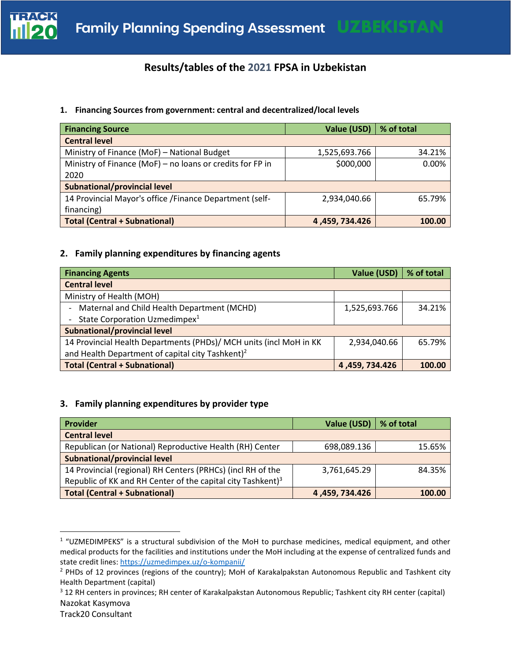

# **Results/tables of the 2021 FPSA in Uzbekistan**

## **1. Financing Sources from government: central and decentralized/local levels**

| <b>Financing Source</b>                                   | Value (USD)   % of total |        |
|-----------------------------------------------------------|--------------------------|--------|
| <b>Central level</b>                                      |                          |        |
| Ministry of Finance (MoF) - National Budget               | 1,525,693.766            | 34.21% |
| Ministry of Finance (MoF) - no loans or credits for FP in | \$000,000                | 0.00%  |
| 2020                                                      |                          |        |
| Subnational/provincial level                              |                          |        |
| 14 Provincial Mayor's office / Finance Department (self-  | 2,934,040.66             | 65.79% |
| financing)                                                |                          |        |
| <b>Total (Central + Subnational)</b>                      | 4,459, 734.426           | 100.00 |

# **2. Family planning expenditures by financing agents**

| <b>Financing Agents</b>                                            | Value (USD)   | % of total |
|--------------------------------------------------------------------|---------------|------------|
| <b>Central level</b>                                               |               |            |
| Ministry of Health (MOH)                                           |               |            |
| Maternal and Child Health Department (MCHD)                        | 1,525,693.766 | 34.21%     |
| State Corporation Uzmedimpex <sup>1</sup>                          |               |            |
| <b>Subnational/provincial level</b>                                |               |            |
| 14 Provincial Health Departments (PHDs)/ MCH units (incl MoH in KK | 2,934,040.66  | 65.79%     |
| and Health Department of capital city Tashkent) <sup>2</sup>       |               |            |
| <b>Total (Central + Subnational)</b>                               | 4.459.734.426 | 100.00     |

#### **3. Family planning expenditures by provider type**

| <b>Provider</b>                                                         | Value (USD)   % of total |        |
|-------------------------------------------------------------------------|--------------------------|--------|
| <b>Central level</b>                                                    |                          |        |
| Republican (or National) Reproductive Health (RH) Center                | 698,089.136              | 15.65% |
| Subnational/provincial level                                            |                          |        |
| 14 Provincial (regional) RH Centers (PRHCs) (incl RH of the             | 3,761,645.29             | 84.35% |
| Republic of KK and RH Center of the capital city Tashkent) <sup>3</sup> |                          |        |
| Total (Central + Subnational)                                           | 4,459,734.426            | 100.00 |

<sup>&</sup>lt;sup>1</sup> "UZMEDIMPEKS" is a structural subdivision of the MoH to purchase medicines, medical equipment, and other medical products for the facilities and institutions under the MoH including at the expense of centralized funds and state credit lines: <https://uzmedimpex.uz/o-kompanii/>

 $<sup>2</sup>$  PHDs of 12 provinces (regions of the country); MoH of Karakalpakstan Autonomous Republic and Tashkent city</sup> Health Department (capital)

Nazokat Kasymova <sup>3</sup> 12 RH centers in provinces; RH center of Karakalpakstan Autonomous Republic; Tashkent city RH center (capital)

Track20 Consultant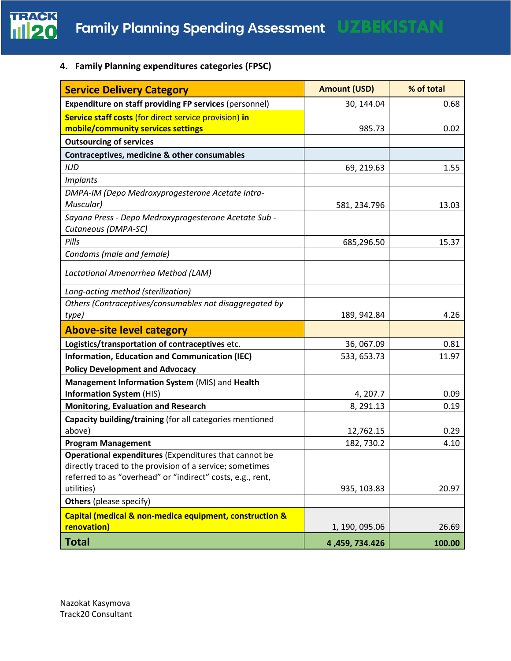

**4. Family Planning expenditures categories (FPSC)** 

| <b>Service Delivery Category</b>                                         | <b>Amount (USD)</b> | % of total |
|--------------------------------------------------------------------------|---------------------|------------|
| <b>Expenditure on staff providing FP services (personnel)</b>            | 30, 144.04          | 0.68       |
| Service staff costs (for direct service provision) in                    |                     |            |
| mobile/community services settings                                       | 985.73              | 0.02       |
| <b>Outsourcing of services</b>                                           |                     |            |
| Contraceptives, medicine & other consumables                             |                     |            |
| <b>IUD</b>                                                               | 69, 219.63          | 1.55       |
| <i>Implants</i>                                                          |                     |            |
| DMPA-IM (Depo Medroxyprogesterone Acetate Intra-                         |                     |            |
| Muscular)                                                                | 581, 234.796        | 13.03      |
| Sayana Press - Depo Medroxyprogesterone Acetate Sub -                    |                     |            |
| Cutaneous (DMPA-SC)                                                      |                     |            |
| Pills                                                                    | 685,296.50          | 15.37      |
| Condoms (male and female)                                                |                     |            |
| Lactational Amenorrhea Method (LAM)                                      |                     |            |
| Long-acting method (sterilization)                                       |                     |            |
| Others (Contraceptives/consumables not disaggregated by                  |                     |            |
| type)                                                                    | 189, 942.84         | 4.26       |
| <b>Above-site level category</b>                                         |                     |            |
| Logistics/transportation of contraceptives etc.                          | 36, 067.09          | 0.81       |
| <b>Information, Education and Communication (IEC)</b>                    | 533, 653.73         | 11.97      |
| <b>Policy Development and Advocacy</b>                                   |                     |            |
| Management Information System (MIS) and Health                           |                     |            |
| <b>Information System (HIS)</b>                                          | 4, 207.7            | 0.09       |
| <b>Monitoring, Evaluation and Research</b>                               | 8, 291.13           | 0.19       |
| Capacity building/training (for all categories mentioned                 |                     |            |
| above)                                                                   | 12,762.15           | 0.29       |
| <b>Program Management</b>                                                | 182, 730.2          | 4.10       |
| Operational expenditures (Expenditures that cannot be                    |                     |            |
| directly traced to the provision of a service; sometimes                 |                     |            |
| referred to as "overhead" or "indirect" costs, e.g., rent,<br>utilities) | 935, 103.83         | 20.97      |
|                                                                          |                     |            |
| <b>Others</b> (please specify)                                           |                     |            |
| Capital (medical & non-medica equipment, construction &                  |                     |            |
| renovation)                                                              | 1, 190, 095.06      | 26.69      |
| <b>Total</b>                                                             | 4,459,734.426       | 100.00     |